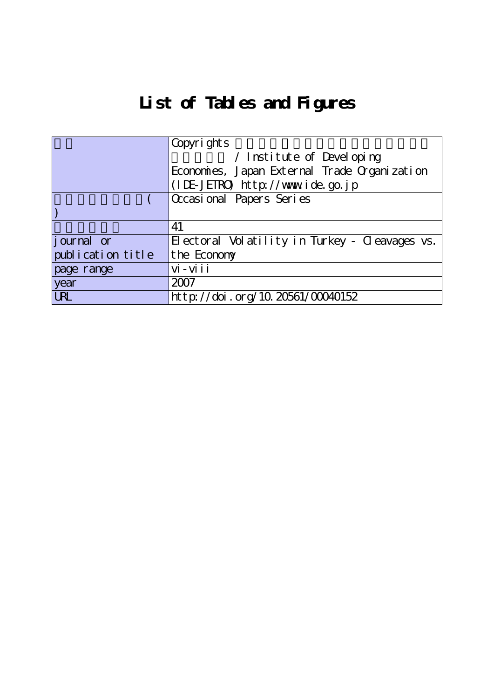## **List of Tables and Figures**

|                   | Copyrights                                     |
|-------------------|------------------------------------------------|
|                   | / Institute of Developing                      |
|                   | Economies, Japan External Trade Organization   |
|                   | (IDE-JETRO) http://www.ide.go.jp               |
|                   | $\overline{\alpha}$ casional Papers Series     |
|                   |                                                |
|                   | 41                                             |
| journal or        | Electoral Volatility in Turkey - Cleavages vs. |
| publication title | the Economy                                    |
| page range        | $vi - vi i i$                                  |
| year              | 2007                                           |
| <b>URL</b>        | http://doi.org/10.20561/00040152               |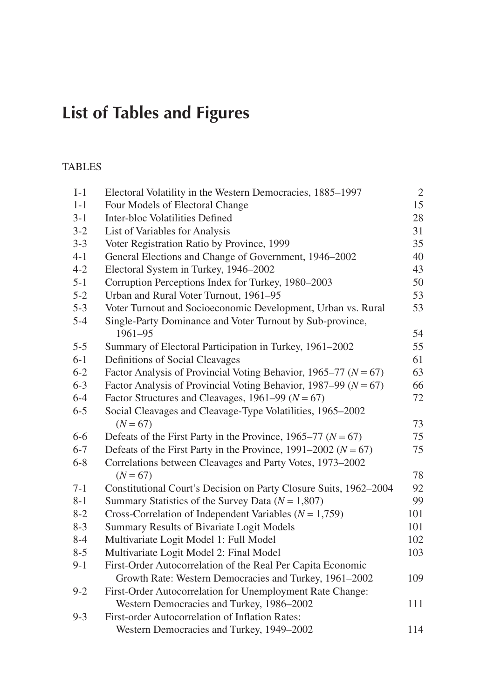## **List of Tables and Figures**

## TABLES

| $I-1$   | Electoral Volatility in the Western Democracies, 1885-1997          | $\sqrt{2}$ |
|---------|---------------------------------------------------------------------|------------|
| $1 - 1$ | Four Models of Electoral Change                                     | 15         |
| $3 - 1$ | Inter-bloc Volatilities Defined                                     | 28         |
| $3 - 2$ | List of Variables for Analysis                                      | 31         |
| $3 - 3$ | Voter Registration Ratio by Province, 1999                          | 35         |
| $4 - 1$ | General Elections and Change of Government, 1946-2002               | 40         |
| $4 - 2$ | Electoral System in Turkey, 1946-2002                               | 43         |
| $5 - 1$ | Corruption Perceptions Index for Turkey, 1980-2003                  | 50         |
| $5 - 2$ | Urban and Rural Voter Turnout, 1961-95                              | 53         |
| $5 - 3$ | Voter Turnout and Socioeconomic Development, Urban vs. Rural        | 53         |
| $5 - 4$ | Single-Party Dominance and Voter Turnout by Sub-province,           |            |
|         | 1961-95                                                             | 54         |
| $5 - 5$ | Summary of Electoral Participation in Turkey, 1961–2002             | 55         |
| $6 - 1$ | Definitions of Social Cleavages                                     | 61         |
| $6 - 2$ | Factor Analysis of Provincial Voting Behavior, 1965–77 ( $N = 67$ ) | 63         |
| $6 - 3$ | Factor Analysis of Provincial Voting Behavior, 1987–99 ( $N = 67$ ) | 66         |
| $6 - 4$ | Factor Structures and Cleavages, 1961–99 ( $N = 67$ )               | 72         |
| $6 - 5$ | Social Cleavages and Cleavage-Type Volatilities, 1965-2002          |            |
|         | $(N = 67)$                                                          | 73         |
| $6 - 6$ | Defeats of the First Party in the Province, 1965–77 ( $N = 67$ )    | 75         |
| $6 - 7$ | Defeats of the First Party in the Province, 1991–2002 ( $N = 67$ )  | 75         |
| $6 - 8$ | Correlations between Cleavages and Party Votes, 1973-2002           |            |
|         | $(N = 67)$                                                          | 78         |
| $7 - 1$ | Constitutional Court's Decision on Party Closure Suits, 1962-2004   | 92         |
| $8 - 1$ | Summary Statistics of the Survey Data ( $N = 1,807$ )               | 99         |
| $8 - 2$ | Cross-Correlation of Independent Variables ( $N = 1,759$ )          | 101        |
| $8-3$   | Summary Results of Bivariate Logit Models                           | 101        |
| $8 - 4$ | Multivariate Logit Model 1: Full Model                              | 102        |
| $8 - 5$ | Multivariate Logit Model 2: Final Model                             | 103        |
| $9 - 1$ | First-Order Autocorrelation of the Real Per Capita Economic         |            |
|         | Growth Rate: Western Democracies and Turkey, 1961-2002              | 109        |
| $9 - 2$ | First-Order Autocorrelation for Unemployment Rate Change:           |            |
|         | Western Democracies and Turkey, 1986-2002                           | 111        |
| $9 - 3$ | First-order Autocorrelation of Inflation Rates:                     |            |
|         | Western Democracies and Turkey, 1949-2002                           | 114        |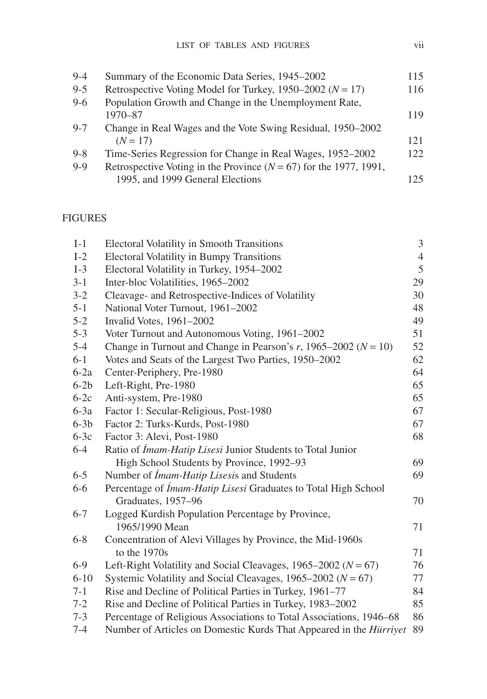| $9 - 4$ | Summary of the Economic Data Series, 1945–2002                        | 115 |
|---------|-----------------------------------------------------------------------|-----|
| $9 - 5$ | Retrospective Voting Model for Turkey, 1950–2002 ( $N = 17$ )         | 116 |
| $9-6$   | Population Growth and Change in the Unemployment Rate,                |     |
|         | $1970 - 87$                                                           | 119 |
| $9 - 7$ | Change in Real Wages and the Vote Swing Residual, 1950–2002           |     |
|         | $(N = 17)$                                                            | 121 |
| $9 - 8$ | Time-Series Regression for Change in Real Wages, 1952–2002            | 122 |
| $9 - 9$ | Retrospective Voting in the Province ( $N = 67$ ) for the 1977, 1991, |     |
|         | 1995, and 1999 General Elections                                      | 125 |

## FIGURES

| $I-1$    | <b>Electoral Volatility in Smooth Transitions</b>                   | 3              |
|----------|---------------------------------------------------------------------|----------------|
| $I-2$    | <b>Electoral Volatility in Bumpy Transitions</b>                    | $\overline{4}$ |
| $I-3$    | Electoral Volatility in Turkey, 1954-2002                           | $\mathfrak s$  |
| $3 - 1$  | Inter-bloc Volatilities, 1965-2002                                  | 29             |
| $3 - 2$  | Cleavage- and Retrospective-Indices of Volatility                   | 30             |
| $5 - 1$  | National Voter Turnout, 1961-2002                                   | 48             |
| $5 - 2$  | Invalid Votes, 1961-2002                                            | 49             |
| $5 - 3$  | Voter Turnout and Autonomous Voting, 1961-2002                      | 51             |
| $5 - 4$  | Change in Turnout and Change in Pearson's r, 1965–2002 ( $N = 10$ ) | 52             |
| $6 - 1$  | Votes and Seats of the Largest Two Parties, 1950-2002               | 62             |
| $6-2a$   | Center-Periphery, Pre-1980                                          | 64             |
| $6-2b$   | Left-Right, Pre-1980                                                | 65             |
| $6-2c$   | Anti-system, Pre-1980                                               | 65             |
| $6-3a$   | Factor 1: Secular-Religious, Post-1980                              | 67             |
| $6-3b$   | Factor 2: Turks-Kurds, Post-1980                                    | 67             |
| $6-3c$   | Factor 3: Alevi, Post-1980                                          | 68             |
| $6 - 4$  | Ratio of <i>Imam-Hatip Lisesi</i> Junior Students to Total Junior   |                |
|          | High School Students by Province, 1992-93                           | 69             |
| $6 - 5$  | Number of <i>İmam-Hatip Lisesis</i> and Students                    | 69             |
| $6 - 6$  | Percentage of İmam-Hatip Lisesi Graduates to Total High School      |                |
|          | Graduates, 1957-96                                                  | 70             |
| $6 - 7$  | Logged Kurdish Population Percentage by Province,                   |                |
|          | 1965/1990 Mean                                                      | 71             |
| $6 - 8$  | Concentration of Alevi Villages by Province, the Mid-1960s          |                |
|          | to the $1970s$                                                      | 71             |
| $6-9$    | Left-Right Volatility and Social Cleavages, 1965–2002 ( $N = 67$ )  | 76             |
| $6 - 10$ | Systemic Volatility and Social Cleavages, 1965–2002 ( $N = 67$ )    | 77             |
| $7 - 1$  | Rise and Decline of Political Parties in Turkey, 1961-77            | 84             |
| $7 - 2$  | Rise and Decline of Political Parties in Turkey, 1983–2002          | 85             |
| $7 - 3$  | Percentage of Religious Associations to Total Associations, 1946–68 | 86             |
| $7 - 4$  | Number of Articles on Domestic Kurds That Appeared in the Hürriyet  | 89             |